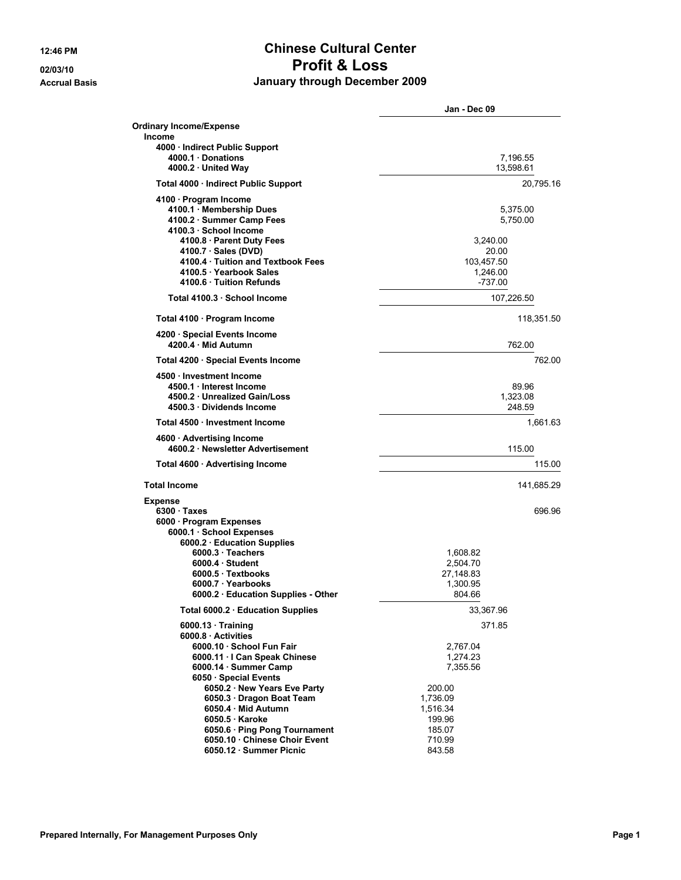## **12:46 PM Chinese Cultural Center 02/03/10 Profit & Loss Accrual Basis January through December 2009**

|                                                                          | Jan - Dec 09          |
|--------------------------------------------------------------------------|-----------------------|
| <b>Ordinary Income/Expense</b>                                           |                       |
| Income                                                                   |                       |
| 4000 · Indirect Public Support                                           |                       |
| 4000.1 Donations<br>4000.2 · United Way                                  | 7,196.55<br>13,598.61 |
| Total 4000 · Indirect Public Support                                     | 20,795.16             |
| 4100 · Program Income                                                    |                       |
| 4100.1 · Membership Dues                                                 | 5,375.00              |
| 4100.2 · Summer Camp Fees                                                | 5,750.00              |
| 4100.3 · School Income<br>4100.8 · Parent Duty Fees                      | 3,240.00              |
| $4100.7 \cdot Sales (DVD)$                                               | 20.00                 |
| 4100.4 Tuition and Textbook Fees                                         | 103,457.50            |
| 4100.5 Yearbook Sales                                                    | 1,246.00              |
| 4100.6 Tuition Refunds                                                   | $-737.00$             |
| Total 4100.3 · School Income                                             | 107,226.50            |
| Total 4100 · Program Income                                              | 118,351.50            |
| 4200 · Special Events Income                                             |                       |
| 4200.4 Mid Autumn<br>Total 4200 · Special Events Income                  | 762.00<br>762.00      |
| 4500 · Investment Income                                                 |                       |
| 4500.1 Interest Income                                                   | 89.96                 |
| 4500.2 · Unrealized Gain/Loss                                            | 1.323.08              |
| 4500.3 · Dividends Income                                                | 248.59                |
| Total 4500 · Investment Income                                           | 1,661.63              |
| 4600 · Advertising Income<br>4600.2 Newsletter Advertisement             |                       |
|                                                                          | 115.00                |
| Total 4600 · Advertising Income                                          | 115.00                |
| <b>Total Income</b>                                                      | 141,685.29            |
| <b>Expense</b>                                                           |                       |
| $6300 \cdot \text{Taxes}$<br>6000 · Program Expenses                     | 696.96                |
| 6000.1 · School Expenses                                                 |                       |
| 6000.2 · Education Supplies                                              |                       |
| $6000.3 \cdot$ Teachers                                                  | 1,608.82              |
| $6000.4 \cdot$ Student                                                   | 2,504.70              |
| 6000.5 · Textbooks                                                       | 27,148.83             |
| 6000.7 Yearbooks                                                         | 1,300.95              |
| 6000.2 · Education Supplies - Other<br>Total 6000.2 · Education Supplies | 804.66<br>33,367.96   |
|                                                                          |                       |
| $6000.13 \cdot$ Training<br>6000.8 Activities                            | 371.85                |
| 6000.10 · School Fun Fair                                                | 2,767.04              |
| 6000.11 · I Can Speak Chinese                                            | 1,274.23              |
| 6000.14 · Summer Camp                                                    | 7,355.56              |
| 6050 · Special Events                                                    |                       |
| 6050.2 · New Years Eve Party                                             | 200.00                |
| 6050.3 Dragon Boat Team                                                  | 1,736.09              |
| 6050.4 Mid Autumn                                                        | 1,516.34              |
| 6050.5 Karoke                                                            | 199.96                |
| 6050.6 · Ping Pong Tournament<br>6050.10 Chinese Choir Event             | 185.07<br>710.99      |
| 6050.12 · Summer Picnic                                                  | 843.58                |
|                                                                          |                       |